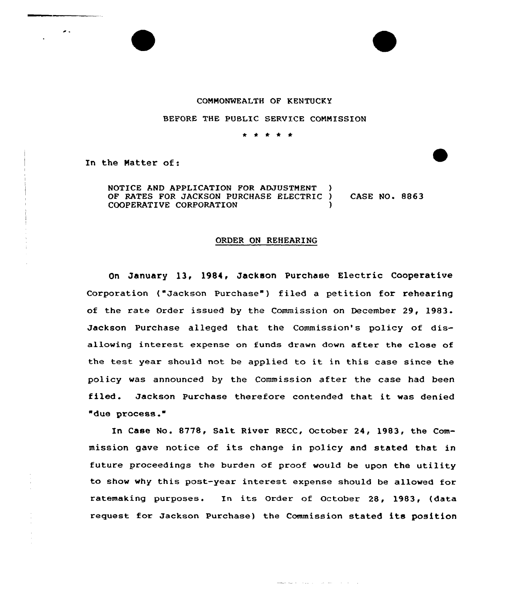## COMMONWEALTH OF KENTUCKY

## BEFORE THE PUBLIC SERVICE COMMISSION

In the Hatter of:

 $\mathbf{z}$ 

NOTICE AND APPLICATION FOR ADJUSTMENT OF RATES FOR JACKSON PURCHASE ELECTRIC ) CASE NO. 8863 COOPERATIVE CORPORATION

## ORDER ON REHEARING

On January 13, 1984, Jackson Purchase Electric Cooperative Corporation ("Jackson Purchase" ) filed <sup>a</sup> petition for rehearing of the rate Order issued by the Commission on December 29, 1983. Jackson Purchase alleged that the Commission's policy of disallowing interest expense on funds drawn down after the close of the test year should not be applied to it in this case since the policy was announced by the Commission after the case had been filed. Jackson Purchase therefore contended that it was denied "due process."

In Case No. 8778, Salt River RECC, October 24, 1983, the Commission gave notice of its change in policy and stated that in future proceedings the burden of proof would be upon the utility to show why this post-year interest expense should be allowed for ratemaking purposes. In its Order of October 28, 1983, (data request for Jackson Purchase) the Commission stated its position

والمنادي المتاعي المتعدد الانتقاضية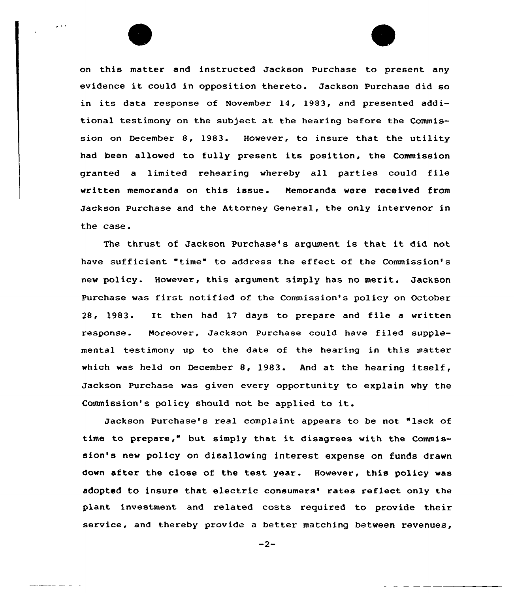on this matter and instructed Jackson Purchase to present any evidence it could in opposition thereto. Jackson Purchase did so in its data response of November 14, 1983, and presented additional testimony on the subject at the hearing before the Commission on December 8, 1983. However, to insure that the utility had been allowed to fully present its position, the Commission granted <sup>a</sup> limited rehearing whereby all parties could file written memoranda on this issue . Memoranda were received from Jackson Purchase and the Attorney General, the only intervenor in the case.

 $\sim$   $\sim$ 

The thrust of Jackson Purchase's argument is that it did not have sufficient "time" to address the effect of the Commission's new policy. However, this argument simply has no merit. Jackson Purchase was first notified of the Commission's policy on October 28, 1983. It then had <sup>17</sup> days to prepare and file <sup>a</sup> written response. Moreover, Jackson Purchase could have filed supplemental testimony up to the date of the hearing in this matter which was held on December 8, 1983. And at the hearing itself, Jackson Purchase was given every opportunity to explain why the Commission's policy should not be applied to it.

Jackson Purchase's real complaint appears to be not "lack of time to prepare," but simply that it disagrees with the Commission's new policy on disallowing interest expense on funds drawn down after the close of the test year. However, this policy was adopted to insure that electric consumers' rates reflect only the plant investment and related costs required to provide their service, and thereby provide a better matching between revenues,

 $-2-$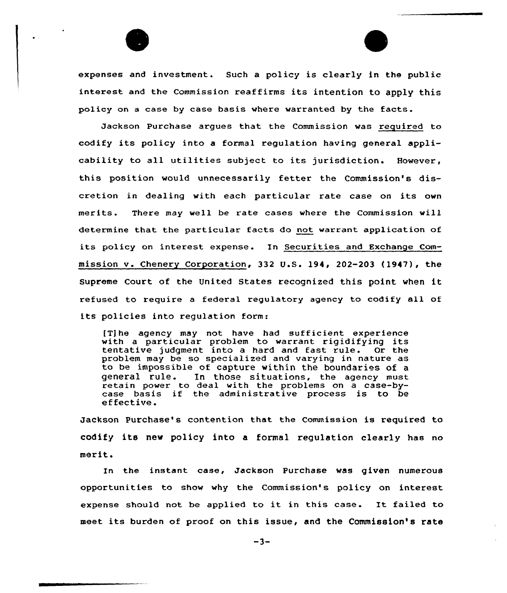expenses and investment. Such <sup>a</sup> policy is clearly in the public interest and the Commission reaffirms its intention to apply this policy on <sup>a</sup> case by case basis where warranted by the facts.

Jackson Purchase argues that the Commission was required to codify its policy into a formal regulation having general applicability to all utilities subject to its jurisdiction. However, this position would unnecessarily fetter the Commission's discretion in dealing with each particular rate case on its own merits. There may well be rate cases whexe the Commission will determine that the particular facts do not warrant application of its policy on interest expense. In Securities and Exchange Commission v. Chenery Corporation, 332 U.S. 194, 202-203 (1947), the Supreme Court of the United States recognized this point when it refused to require <sup>a</sup> federal regulatory agency to codify all of its policies into regulation form:

[T] he agency may not have had sufficient experience with a particular problem to warrant rigidifying its tentative judgment into a hard and fast rule. Or the problem may be so specialized and varying in nature as to be impossible of capture within the boundaries of a In those situations, the agency must retain power to deal with the problems on a case-bycase basis if the administrative process is to be effective.

Jackson Purchase's contention that the Commission is required to codify its new policy into a formal regulation clearly has no merit.

In the instant case, Jackson Purchase was given numerous opportunities to show why the Commission's policy on interest expense should not be applied to it in this case. It failed to meet its burden of proof on this issue, and the Commission's rate

 $-3-$